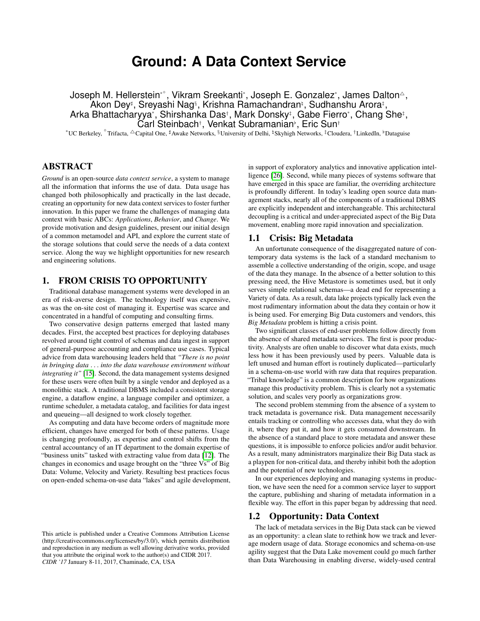# **Ground: A Data Context Service**

Joseph M. Hellerstein\*°, Vikram Sreekanti\*, Joseph E. Gonzalez\*, James Dalton△, Akon Dey‡, Sreyashi Nag§, Krishna Ramachandranʰ, Sudhanshu Arora‡, Arka Bhattacharyya\*, Shirshanka Das†, Mark Donsky‡, Gabe Fierro\*, Chang She‡, Carl Steinbach<sup>†</sup>, Venkat Subramanian<sup>,</sup>, Eric Sun<sup>†</sup>

\*UC Berkeley,  $\degree$ Trifacta,  $\triangle$ Capital One, #Awake Networks, §University of Delhi, ¤Skyhigh Networks, ‡Cloudera, †LinkedIn, ♭Dataguise

# ABSTRACT

*Ground* is an open-source *data context service*, a system to manage all the information that informs the use of data. Data usage has changed both philosophically and practically in the last decade, creating an opportunity for new data context services to foster further innovation. In this paper we frame the challenges of managing data context with basic ABCs: *Applications*, *Behavior*, and *Change*. We provide motivation and design guidelines, present our initial design of a common metamodel and API, and explore the current state of the storage solutions that could serve the needs of a data context service. Along the way we highlight opportunities for new research and engineering solutions.

## 1. FROM CRISIS TO OPPORTUNITY

Traditional database management systems were developed in an era of risk-averse design. The technology itself was expensive, as was the on-site cost of managing it. Expertise was scarce and concentrated in a handful of computing and consulting firms.

Two conservative design patterns emerged that lasted many decades. First, the accepted best practices for deploying databases revolved around tight control of schemas and data ingest in support of general-purpose accounting and compliance use cases. Typical advice from data warehousing leaders held that *"There is no point in bringing data* . . . *into the data warehouse environment without integrating it"* [\[15\]](#page-10-0). Second, the data management systems designed for these users were often built by a single vendor and deployed as a monolithic stack. A traditional DBMS included a consistent storage engine, a dataflow engine, a language compiler and optimizer, a runtime scheduler, a metadata catalog, and facilities for data ingest and queueing—all designed to work closely together.

As computing and data have become orders of magnitude more efficient, changes have emerged for both of these patterns. Usage is changing profoundly, as expertise and control shifts from the central accountancy of an IT department to the domain expertise of "business units" tasked with extracting value from data [\[12\]](#page-10-1). The changes in economics and usage brought on the "three Vs" of Big Data: Volume, Velocity and Variety. Resulting best practices focus on open-ended schema-on-use data "lakes" and agile development, in support of exploratory analytics and innovative application intelligence [\[26\]](#page-11-0). Second, while many pieces of systems software that have emerged in this space are familiar, the overriding architecture is profoundly different. In today's leading open source data management stacks, nearly all of the components of a traditional DBMS are explicitly independent and interchangeable. This architectural decoupling is a critical and under-appreciated aspect of the Big Data movement, enabling more rapid innovation and specialization.

### 1.1 Crisis: Big Metadata

An unfortunate consequence of the disaggregated nature of contemporary data systems is the lack of a standard mechanism to assemble a collective understanding of the origin, scope, and usage of the data they manage. In the absence of a better solution to this pressing need, the Hive Metastore is sometimes used, but it only serves simple relational schemas—a dead end for representing a Variety of data. As a result, data lake projects typically lack even the most rudimentary information about the data they contain or how it is being used. For emerging Big Data customers and vendors, this *Big Metadata* problem is hitting a crisis point.

Two significant classes of end-user problems follow directly from the absence of shared metadata services. The first is poor productivity. Analysts are often unable to discover what data exists, much less how it has been previously used by peers. Valuable data is left unused and human effort is routinely duplicated—particularly in a schema-on-use world with raw data that requires preparation. "Tribal knowledge" is a common description for how organizations manage this productivity problem. This is clearly not a systematic solution, and scales very poorly as organizations grow.

The second problem stemming from the absence of a system to track metadata is governance risk. Data management necessarily entails tracking or controlling who accesses data, what they do with it, where they put it, and how it gets consumed downstream. In the absence of a standard place to store metadata and answer these questions, it is impossible to enforce policies and/or audit behavior. As a result, many administrators marginalize their Big Data stack as a playpen for non-critical data, and thereby inhibit both the adoption and the potential of new technologies.

In our experiences deploying and managing systems in production, we have seen the need for a common service layer to support the capture, publishing and sharing of metadata information in a flexible way. The effort in this paper began by addressing that need.

### 1.2 Opportunity: Data Context

The lack of metadata services in the Big Data stack can be viewed as an opportunity: a clean slate to rethink how we track and leverage modern usage of data. Storage economics and schema-on-use agility suggest that the Data Lake movement could go much farther than Data Warehousing in enabling diverse, widely-used central

This article is published under a Creative Commons Attribution License (http://creativecommons.org/licenses/by/3.0/), which permits distribution and reproduction in any medium as well allowing derivative works, provided that you attribute the original work to the author(s) and CIDR 2017. *CIDR '17* January 8-11, 2017, Chaminade, CA, USA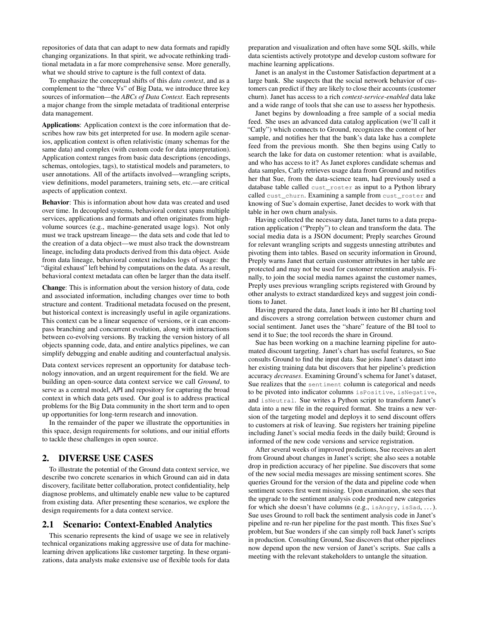repositories of data that can adapt to new data formats and rapidly changing organizations. In that spirit, we advocate rethinking traditional metadata in a far more comprehensive sense. More generally, what we should strive to capture is the full context of data.

To emphasize the conceptual shifts of this *data context*, and as a complement to the "three Vs" of Big Data, we introduce three key sources of information—the *ABCs of Data Context*. Each represents a major change from the simple metadata of traditional enterprise data management.

Applications: Application context is the core information that describes how raw bits get interpreted for use. In modern agile scenarios, application context is often relativistic (many schemas for the same data) and complex (with custom code for data interpretation). Application context ranges from basic data descriptions (encodings, schemas, ontologies, tags), to statistical models and parameters, to user annotations. All of the artifacts involved—wrangling scripts, view definitions, model parameters, training sets, etc.—are critical aspects of application context.

Behavior: This is information about how data was created and used over time. In decoupled systems, behavioral context spans multiple services, applications and formats and often originates from highvolume sources (e.g., machine-generated usage logs). Not only must we track upstream lineage— the data sets and code that led to the creation of a data object—we must also track the downstream lineage, including data products derived from this data object. Aside from data lineage, behavioral context includes logs of usage: the "digital exhaust" left behind by computations on the data. As a result, behavioral context metadata can often be larger than the data itself.

Change: This is information about the version history of data, code and associated information, including changes over time to both structure and content. Traditional metadata focused on the present, but historical context is increasingly useful in agile organizations. This context can be a linear sequence of versions, or it can encompass branching and concurrent evolution, along with interactions between co-evolving versions. By tracking the version history of all objects spanning code, data, and entire analytics pipelines, we can simplify debugging and enable auditing and counterfactual analysis.

Data context services represent an opportunity for database technology innovation, and an urgent requirement for the field. We are building an open-source data context service we call *Ground*, to serve as a central model, API and repository for capturing the broad context in which data gets used. Our goal is to address practical problems for the Big Data community in the short term and to open up opportunities for long-term research and innovation.

In the remainder of the paper we illustrate the opportunities in this space, design requirements for solutions, and our initial efforts to tackle these challenges in open source.

## <span id="page-1-0"></span>2. DIVERSE USE CASES

To illustrate the potential of the Ground data context service, we describe two concrete scenarios in which Ground can aid in data discovery, facilitate better collaboration, protect confidentiality, help diagnose problems, and ultimately enable new value to be captured from existing data. After presenting these scenarios, we explore the design requirements for a data context service.

#### 2.1 Scenario: Context-Enabled Analytics

This scenario represents the kind of usage we see in relatively technical organizations making aggressive use of data for machinelearning driven applications like customer targeting. In these organizations, data analysts make extensive use of flexible tools for data preparation and visualization and often have some SQL skills, while data scientists actively prototype and develop custom software for machine learning applications.

Janet is an analyst in the Customer Satisfaction department at a large bank. She suspects that the social network behavior of customers can predict if they are likely to close their accounts (customer churn). Janet has access to a rich *context-service-enabled* data lake and a wide range of tools that she can use to assess her hypothesis.

Janet begins by downloading a free sample of a social media feed. She uses an advanced data catalog application (we'll call it "Catly") which connects to Ground, recognizes the content of her sample, and notifies her that the bank's data lake has a complete feed from the previous month. She then begins using Catly to search the lake for data on customer retention: what is available, and who has access to it? As Janet explores candidate schemas and data samples, Catly retrieves usage data from Ground and notifies her that Sue, from the data-science team, had previously used a database table called cust\_roster as input to a Python library called cust\_churn. Examining a sample from cust\_roster and knowing of Sue's domain expertise, Janet decides to work with that table in her own churn analysis.

Having collected the necessary data, Janet turns to a data preparation application ("Preply") to clean and transform the data. The social media data is a JSON document; Preply searches Ground for relevant wrangling scripts and suggests unnesting attributes and pivoting them into tables. Based on security information in Ground, Preply warns Janet that certain customer attributes in her table are protected and may not be used for customer retention analysis. Finally, to join the social media names against the customer names, Preply uses previous wrangling scripts registered with Ground by other analysts to extract standardized keys and suggest join conditions to Janet.

Having prepared the data, Janet loads it into her BI charting tool and discovers a strong correlation between customer churn and social sentiment. Janet uses the "share" feature of the BI tool to send it to Sue; the tool records the share in Ground.

Sue has been working on a machine learning pipeline for automated discount targeting. Janet's chart has useful features, so Sue consults Ground to find the input data. Sue joins Janet's dataset into her existing training data but discovers that her pipeline's prediction accuracy *decreases*. Examining Ground's schema for Janet's dataset, Sue realizes that the sentiment column is categorical and needs to be pivoted into indicator columns isPositive, isNegative, and isNeutral. Sue writes a Python script to transform Janet's data into a new file in the required format. She trains a new version of the targeting model and deploys it to send discount offers to customers at risk of leaving. Sue registers her training pipeline including Janet's social media feeds in the daily build; Ground is informed of the new code versions and service registration.

After several weeks of improved predictions, Sue receives an alert from Ground about changes in Janet's script; she also sees a notable drop in prediction accuracy of her pipeline. Sue discovers that some of the new social media messages are missing sentiment scores. She queries Ground for the version of the data and pipeline code when sentiment scores first went missing. Upon examination, she sees that the upgrade to the sentiment analysis code produced new categories for which she doesn't have columns (e.g., isAngry, isSad, . . . ). Sue uses Ground to roll back the sentiment analysis code in Janet's pipeline and re-run her pipeline for the past month. This fixes Sue's problem, but Sue wonders if she can simply roll back Janet's scripts in production. Consulting Ground, Sue discovers that other pipelines now depend upon the new version of Janet's scripts. Sue calls a meeting with the relevant stakeholders to untangle the situation.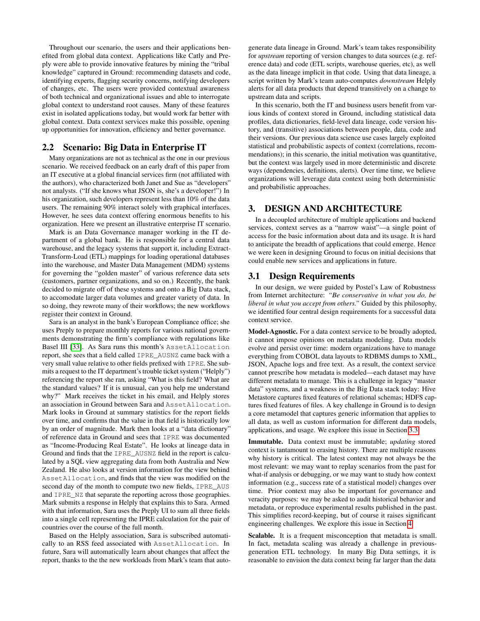Throughout our scenario, the users and their applications benefited from global data context. Applications like Catly and Preply were able to provide innovative features by mining the "tribal knowledge" captured in Ground: recommending datasets and code, identifying experts, flagging security concerns, notifying developers of changes, etc. The users were provided contextual awareness of both technical and organizational issues and able to interrogate global context to understand root causes. Many of these features exist in isolated applications today, but would work far better with global context. Data context services make this possible, opening up opportunities for innovation, efficiency and better governance.

# 2.2 Scenario: Big Data in Enterprise IT

Many organizations are not as technical as the one in our previous scenario. We received feedback on an early draft of this paper from an IT executive at a global financial services firm (not affiliated with the authors), who characterized both Janet and Sue as "developers" not analysts. ("If she knows what JSON is, she's a developer!") In his organization, such developers represent less than 10% of the data users. The remaining 90% interact solely with graphical interfaces. However, he sees data context offering enormous benefits to his organization. Here we present an illustrative enterprise IT scenario.

Mark is an Data Governance manager working in the IT department of a global bank. He is responsible for a central data warehouse, and the legacy systems that support it, including Extract-Transform-Load (ETL) mappings for loading operational databases into the warehouse, and Master Data Management (MDM) systems for governing the "golden master" of various reference data sets (customers, partner organizations, and so on.) Recently, the bank decided to migrate off of these systems and onto a Big Data stack, to accomodate larger data volumes and greater variety of data. In so doing, they rewrote many of their workflows; the new workflows register their context in Ground.

Sara is an analyst in the bank's European Compliance office; she uses Preply to prepare monthly reports for various national governments demonstrating the firm's compliance with regulations like Basel III [\[33\]](#page-11-1). As Sara runs this month's AssetAllocation report, she sees that a field called IPRE\_AUSNZ came back with a very small value relative to other fields prefixed with IPRE. She submits a request to the IT department's trouble ticket system ("Helply") referencing the report she ran, asking "What is this field? What are the standard values? If it is unusual, can you help me understand why?" Mark receives the ticket in his email, and Helply stores an association in Ground between Sara and AssetAllocation. Mark looks in Ground at summary statistics for the report fields over time, and confirms that the value in that field is historically low by an order of magnitude. Mark then looks at a "data dictionary" of reference data in Ground and sees that IPRE was documented as "Income-Producing Real Estate". He looks at lineage data in Ground and finds that the IPRE\_AUSNZ field in the report is calculated by a SQL view aggregating data from both Australia and New Zealand. He also looks at version information for the view behind AssetAllocation, and finds that the view was modified on the second day of the month to compute two new fields, IPRE\_AUS and IPRE\_NZ that separate the reporting across those geographies. Mark submits a response in Helply that explains this to Sara. Armed with that information, Sara uses the Preply UI to sum all three fields into a single cell representing the IPRE calculation for the pair of countries over the course of the full month.

Based on the Helply association, Sara is subscribed automatically to an RSS feed associated with AssetAllocation. In future, Sara will automatically learn about changes that affect the report, thanks to the the new workloads from Mark's team that autogenerate data lineage in Ground. Mark's team takes responsibility for *upstream* reporting of version changes to data sources (e.g. reference data) and code (ETL scripts, warehouse queries, etc), as well as the data lineage implicit in that code. Using that data lineage, a script written by Mark's team auto-computes *downstream* Helply alerts for all data products that depend transitively on a change to upstream data and scripts.

In this scenario, both the IT and business users benefit from various kinds of context stored in Ground, including statistical data profiles, data dictionaries, field-level data lineage, code version history, and (transitive) associations between people, data, code and their versions. Our previous data science use cases largely exploited statistical and probabilistic aspects of context (correlations, recommendations); in this scenario, the initial motivation was quantitative, but the context was largely used in more deterministic and discrete ways (dependencies, definitions, alerts). Over time time, we believe organizations will leverage data context using both deterministic and probabilistic approaches.

### 3. DESIGN AND ARCHITECTURE

In a decoupled architecture of multiple applications and backend services, context serves as a "narrow waist"—a single point of access for the basic information about data and its usage. It is hard to anticipate the breadth of applications that could emerge. Hence we were keen in designing Ground to focus on initial decisions that could enable new services and applications in future.

### 3.1 Design Requirements

In our design, we were guided by Postel's Law of Robustness from Internet architecture: *"Be conservative in what you do, be liberal in what you accept from others."* Guided by this philosophy, we identified four central design requirements for a successful data context service.

Model-Agnostic. For a data context service to be broadly adopted, it cannot impose opinions on metadata modeling. Data models evolve and persist over time: modern organizations have to manage everything from COBOL data layouts to RDBMS dumps to XML, JSON, Apache logs and free text. As a result, the context service cannot prescribe how metadata is modeled—each dataset may have different metadata to manage. This is a challenge in legacy "master data" systems, and a weakness in the Big Data stack today: Hive Metastore captures fixed features of relational schemas; HDFS captures fixed features of files. A key challenge in Ground is to design a core metamodel that captures generic information that applies to all data, as well as custom information for different data models, applications, and usage. We explore this issue in Section [3.3.](#page-4-0)

Immutable. Data context must be immutable; *updating* stored context is tantamount to erasing history. There are multiple reasons why history is critical. The latest context may not always be the most relevant: we may want to replay scenarios from the past for what-if analysis or debugging, or we may want to study how context information (e.g., success rate of a statistical model) changes over time. Prior context may also be important for governance and veracity purposes: we may be asked to audit historical behavior and metadata, or reproduce experimental results published in the past. This simplifies record-keeping, but of course it raises significant engineering challenges. We explore this issue in Section [4.](#page-6-0)

Scalable. It is a frequent misconception that metadata is small. In fact, metadata scaling was already a challenge in previousgeneration ETL technology. In many Big Data settings, it is reasonable to envision the data context being far larger than the data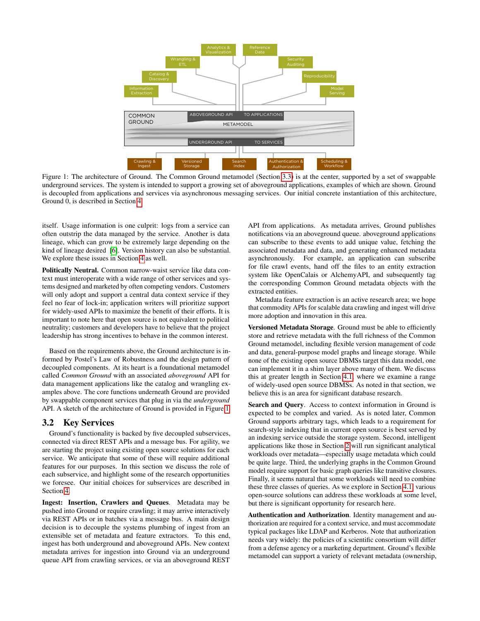<span id="page-3-0"></span>

Figure 1: The architecture of Ground. The Common Ground metamodel (Section [3.3\)](#page-4-0) is at the center, supported by a set of swappable underground services. The system is intended to support a growing set of aboveground applications, examples of which are shown. Ground is decoupled from applications and services via asynchronous messaging services. Our initial concrete instantiation of this architecture, Ground 0, is described in Section [4.](#page-6-0)

itself. Usage information is one culprit: logs from a service can often outstrip the data managed by the service. Another is data lineage, which can grow to be extremely large depending on the kind of lineage desired [\[6\]](#page-10-2). Version history can also be substantial. We explore these issues in Section [4](#page-6-0) as well.

Politically Neutral. Common narrow-waist service like data context must interoperate with a wide range of other services and systems designed and marketed by often competing vendors. Customers will only adopt and support a central data context service if they feel no fear of lock-in; application writers will prioritize support for widely-used APIs to maximize the benefit of their efforts. It is important to note here that open source is not equivalent to political neutrality; customers and developers have to believe that the project leadership has strong incentives to behave in the common interest.

Based on the requirements above, the Ground architecture is informed by Postel's Law of Robustness and the design pattern of decoupled components. At its heart is a foundational metamodel called *Common Ground* with an associated *aboveground* API for data management applications like the catalog and wrangling examples above. The core functions underneath Ground are provided by swappable component services that plug in via the *underground* API. A sketch of the architecture of Ground is provided in Figure [1.](#page-3-0)

### 3.2 Key Services

Ground's functionality is backed by five decoupled subservices, connected via direct REST APIs and a message bus. For agility, we are starting the project using existing open source solutions for each service. We anticipate that some of these will require additional features for our purposes. In this section we discuss the role of each subservice, and highlight some of the research opportunities we foresee. Our initial choices for subservices are described in Section [4.](#page-6-0)

Ingest: Insertion, Crawlers and Queues. Metadata may be pushed into Ground or require crawling; it may arrive interactively via REST APIs or in batches via a message bus. A main design decision is to decouple the systems plumbing of ingest from an extensible set of metadata and feature extractors. To this end, ingest has both underground and aboveground APIs. New context metadata arrives for ingestion into Ground via an underground queue API from crawling services, or via an aboveground REST API from applications. As metadata arrives, Ground publishes notifications via an aboveground queue. aboveground applications can subscribe to these events to add unique value, fetching the associated metadata and data, and generating enhanced metadata asynchronously. For example, an application can subscribe for file crawl events, hand off the files to an entity extraction system like OpenCalais or AlchemyAPI, and subsequently tag the corresponding Common Ground metadata objects with the extracted entities.

Metadata feature extraction is an active research area; we hope that commodity APIs for scalable data crawling and ingest will drive more adoption and innovation in this area.

Versioned Metadata Storage. Ground must be able to efficiently store and retrieve metadata with the full richness of the Common Ground metamodel, including flexible version management of code and data, general-purpose model graphs and lineage storage. While none of the existing open source DBMSs target this data model, one can implement it in a shim layer above many of them. We discuss this at greater length in Section [4.1,](#page-7-0) where we examine a range of widely-used open source DBMSs. As noted in that section, we believe this is an area for significant database research.

Search and Query. Access to context information in Ground is expected to be complex and varied. As is noted later, Common Ground supports arbitrary tags, which leads to a requirement for search-style indexing that in current open source is best served by an indexing service outside the storage system. Second, intelligent applications like those in Section [2](#page-1-0) will run significant analytical workloads over metadata—especially usage metadata which could be quite large. Third, the underlying graphs in the Common Ground model require support for basic graph queries like transitive closures. Finally, it seems natural that some workloads will need to combine these three classes of queries. As we explore in Section [4.1,](#page-7-0) various open-source solutions can address these workloads at some level, but there is significant opportunity for research here.

Authentication and Authorization. Identity management and authorization are required for a context service, and must accommodate typical packages like LDAP and Kerberos. Note that authorization needs vary widely: the policies of a scientific consortium will differ from a defense agency or a marketing department. Ground's flexible metamodel can support a variety of relevant metadata (ownership,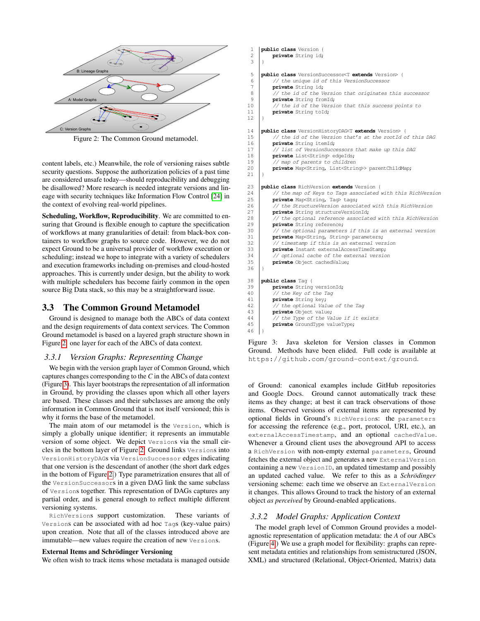<span id="page-4-1"></span>

Figure 2: The Common Ground metamodel.

content labels, etc.) Meanwhile, the role of versioning raises subtle security questions. Suppose the authorization policies of a past time are considered unsafe today—should reproducibility and debugging be disallowed? More research is needed integrate versions and lineage with security techniques like Information Flow Control [\[24\]](#page-11-2) in the context of evolving real-world pipelines.

Scheduling, Workflow, Reproducibility. We are committed to ensuring that Ground is flexible enough to capture the specification of workflows at many granularities of detail: from black-box containers to workflow graphs to source code. However, we do not expect Ground to be a universal provider of workflow execution or scheduling; instead we hope to integrate with a variety of schedulers and execution frameworks including on-premises and cloud-hosted approaches. This is currently under design, but the ability to work with multiple schedulers has become fairly common in the open source Big Data stack, so this may be a straightforward issue.

### <span id="page-4-0"></span>3.3 The Common Ground Metamodel

Ground is designed to manage both the ABCs of data context and the design requirements of data context services. The Common Ground metamodel is based on a layered graph structure shown in Figure [2:](#page-4-1) one layer for each of the ABCs of data context.

#### *3.3.1 Version Graphs: Representing Change*

We begin with the version graph layer of Common Ground, which captures changes corresponding to the *C* in the ABCs of data context (Figure [3\)](#page-4-2). This layer bootstraps the representation of all information in Ground, by providing the classes upon which all other layers are based. These classes and their subclasses are among the only information in Common Ground that is not itself versioned; this is why it forms the base of the metamodel.

The main atom of our metamodel is the Version, which is simply a globally unique identifier; it represents an immutable version of some object. We depict Versions via the small circles in the bottom layer of Figure [2.](#page-4-1) Ground links Versions into VersionHistoryDAGs via VersionSuccessor edges indicating that one version is the descendant of another (the short dark edges in the bottom of Figure [2.](#page-4-1)) Type parametrization ensures that all of the VersionSuccessors in a given DAG link the same subclass of Versions together. This representation of DAGs captures any partial order, and is general enough to reflect multiple different versioning systems.

RichVersions support customization. These variants of Versions can be associated with ad hoc Tags (key-value pairs) upon creation. Note that all of the classes introduced above are immutable—new values require the creation of new Versions.

#### External Items and Schrödinger Versioning

We often wish to track items whose metadata is managed outside

<span id="page-4-2"></span>

| 1              | public class Version {                                                |
|----------------|-----------------------------------------------------------------------|
| $\overline{c}$ | private String id;                                                    |
| 3              | ł                                                                     |
| 5              | <b>public class</b> VersionSuccessor <t extends="" version=""> {</t>  |
| 6              | // the unique id of this VersionSuccessor                             |
| 7              | private String id;                                                    |
| 8              | // the id of the Version that originates this successor               |
| 9              | private String fromId;                                                |
| 10             | // the id of the Version that this success points to                  |
| 11             | private String told;                                                  |
| 12             | ł                                                                     |
|                |                                                                       |
| 14             | <b>public class</b> VersionHistoryDAG <t extends="" version=""> {</t> |
| 15             | // the id of the Version that's at the rootId of this DAG             |
| 16             | private String itemId;                                                |
| 17             | // list of VersionSuccessors that make up this DAG                    |
| 18             | private List <strino edgeids;<="" td=""></strino>                     |
| 19             | // map of parents to children                                         |
| 20             | private Map <string, list<string=""> parentChildMap;</string,>        |
| 21             | ł                                                                     |
| 23             | public class RichVersion extends Version {                            |
| 24             | // the map of Keys to Tags associated with this RichVersion           |
| 25             | private Map <string, taq=""> tags;</string,>                          |
| 26             | // the StructureVersion associated with this RichVersion              |
| 27             | private String structureVersionId;                                    |
| 28             | // the optional reference associated with this RichVersion            |
| 29             | private String reference;                                             |
| 30             | // the optional parameters if this is an external version             |
| 31             | private Map <string, parameters;<="" strino="" td=""></string,>       |
| 32             | // timestamp if this is an external version                           |
| 33             | private Instant externalAccessTimeStamp;                              |
| 34             | // optional cache of the external version                             |
| 35             | private Object cachedValue;                                           |
| 36             | ł                                                                     |
| 38             | public class Tag {                                                    |
| 39             | private String versionId;                                             |
| 40             | // the Key of the Tag                                                 |
| 41             | private String key;                                                   |
| 42             |                                                                       |
|                | // the optional Value of the Tag                                      |
| 43             | private Object value;                                                 |
| 44             | // the Type of the Value if it exists                                 |
| 45             | private GroundType valueType;                                         |
| 46             | ł                                                                     |

Figure 3: Java skeleton for Version classes in Common Ground. Methods have been elided. Full code is available at https://github.com/ground-context/ground.

of Ground: canonical examples include GitHub repositories and Google Docs. Ground cannot automatically track these items as they change; at best it can track observations of those items. Observed versions of external items are represented by optional fields in Ground's RichVersions: the parameters for accessing the reference (e.g., port, protocol, URI, etc.), an externalAccessTimestamp, and an optional cachedValue. Whenever a Ground client uses the aboveground API to access a RichVersion with non-empty external parameters, Ground fetches the external object and generates a new ExternalVersion containing a new VersionID, an updated timestamp and possibly an updated cached value. We refer to this as a *Schrödinger* versioning scheme: each time we observe an ExternalVersion it changes. This allows Ground to track the history of an external object *as perceived* by Ground-enabled applications.

#### *3.3.2 Model Graphs: Application Context*

The model graph level of Common Ground provides a modelagnostic representation of application metadata: the *A* of our ABCs (Figure [4.](#page-5-0)) We use a graph model for flexibility: graphs can represent metadata entities and relationships from semistructured (JSON, XML) and structured (Relational, Object-Oriented, Matrix) data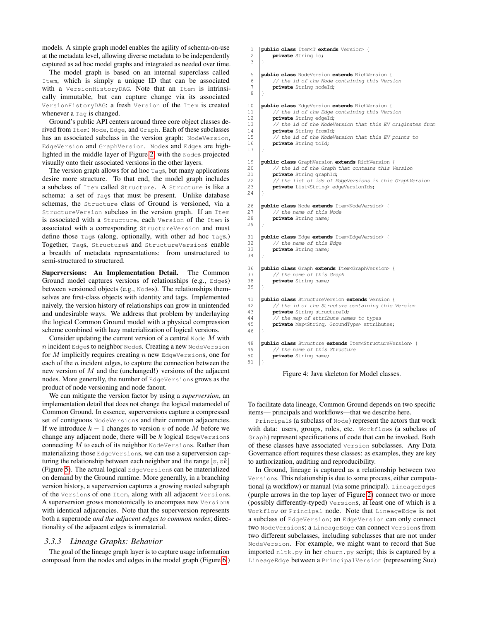models. A simple graph model enables the agility of schema-on-use at the metadata level, allowing diverse metadata to be independently captured as ad hoc model graphs and integrated as needed over time.

The model graph is based on an internal superclass called Item, which is simply a unique ID that can be associated with a VersionHistoryDAG. Note that an Item is intrinsically immutable, but can capture change via its associated VersionHistoryDAG: a fresh Version of the Item is created whenever a Taq is changed.

Ground's public API centers around three core object classes derived from Item: Node, Edge, and Graph. Each of these subclasses has an associated subclass in the version graph: NodeVersion, EdgeVersion and GraphVersion. Nodes and Edges are highlighted in the middle layer of Figure [2,](#page-4-1) with the Nodes projected visually onto their associated versions in the other layers.

The version graph allows for ad hoc Tags, but many applications desire more structure. To that end, the model graph includes a subclass of Item called Structure. A Structure is like a schema: a set of Tags that must be present. Unlike database schemas, the Structure class of Ground is versioned, via a StructureVersion subclass in the version graph. If an Item is associated with a Structure, each Version of the Item is associated with a corresponding StructureVersion and must define those Tags (along, optionally, with other ad hoc Tags.) Together, Tags, Structures and StructureVersions enable a breadth of metadata representations: from unstructured to semi-structured to structured.

Superversions: An Implementation Detail. The Common Ground model captures versions of relationships (e.g., Edges) between versioned objects (e.g., Nodes). The relationships themselves are first-class objects with identity and tags. Implemented naively, the version history of relationships can grow in unintended and undesirable ways. We address that problem by underlaying the logical Common Ground model with a physical compression scheme combined with lazy materialization of logical versions.

Consider updating the current version of a central Node  $M$  with  $n$  incident Edges to neighbor Nodes. Creating a new NodeVersion for  $M$  implicitly requires creating  $n$  new EdgeVersions, one for each of the  $n$  incident edges, to capture the connection between the new version of  $M$  and the (unchanged!) versions of the adjacent nodes. More generally, the number of EdgeVersions grows as the product of node versioning and node fanout.

We can mitigate the version factor by using a *superversion*, an implementation detail that does not change the logical metamodel of Common Ground. In essence, superversions capture a compressed set of contiguous NodeVersions and their common adjacencies. If we introduce  $k - 1$  changes to version v of node M before we change any adjacent node, there will be  $k$  logical EdgeVersions connecting  $M$  to each of its neighbor NodeVersions. Rather than materializing those EdgeVersions, we can use a superversion capturing the relationship between each neighbor and the range  $[v, vk]$ (Figure [5\)](#page-6-1). The actual logical EdgeVersions can be materialized on demand by the Ground runtime. More generally, in a branching version history, a superversion captures a growing rooted subgraph of the Versions of one Item, along with all adjacent Versions. A superversion grows monotonically to encompass new Versions with identical adjacencies. Note that the superversion represents both a supernode *and the adjacent edges to common nodes*; directionality of the adjacent edges is immaterial.

#### *3.3.3 Lineage Graphs: Behavior*

The goal of the lineage graph layer is to capture usage information composed from the nodes and edges in the model graph (Figure [6.](#page-6-2))

```
1 public class Item<T extends Version> {
 2 private String id;
 3 }
 5 public class NodeVersion extends RichVersion {
 6 \begin{array}{|c|c|c|c|c|}\n\hline\n\end{array} // the id of the Node containing this Version \begin{array}{c}\n\text{private String model:}\n\end{array}private String nodeId;
 8 }
10 public class EdgeVersion extends RichVersion {<br>11 // the id of the Edge containing this Vers
11 // the id of the Edge containing this Version<br>12 private String edge1d:
          private String edgeId;
13 // the id of the NodeVersion that this EV originates from<br>14 private String from Id:
14 private String fromId;<br>15 // the id of the NodeV
          .<br>// the id of the NodeVersion that this EV points to
16 private String toId;
17 \mid }
19 public class GraphVersion extends RichVersion {
          1/ the id of the Graph that contains this Version
21 private String graphId;<br>22 // the list of ids of E
          .<br>// the list of ids of EdgeVersions in this GraphVersion
23 private List<String> edgeVersionIds;
24 }
26 public class Node extends Item<NodeVersion> {
27 // the name of this Node
28 private String name:
29 }
31 public class Edge extends Item<EdgeVersion> {
32 // the name of this Edge
33 private String name;
34 }
36 public class Graph extends Item<GraphVersion> {
37 // the name of this Graph
38 private String name;
39 }
41 public class StructureVersion extends Version {
42 // the id of the Structure containing this Version
43 private String structureId;<br>44 //the map of attribute name
           1/4 the map of attribute names to types
45 private Map<String, GroundType> attributes;
4648 public class Structure extends ItemsStructureVersion> {<br>
// the name of this Structure
          // the name of this Structure
50 private String name;
51 }
```


To facilitate data lineage, Common Ground depends on two specific items— principals and workflows—that we describe here.

Principals (a subclass of Node) represent the actors that work with data: users, groups, roles, etc. Workflows (a subclass of Graph) represent specifications of code that can be invoked. Both of these classes have associated Version subclasses. Any Data Governance effort requires these classes: as examples, they are key to authorization, auditing and reproducibility.

In Ground, lineage is captured as a relationship between two Versions. This relationship is due to some process, either computational (a workflow) or manual (via some principal). LineageEdges (purple arrows in the top layer of Figure [2\)](#page-4-1) connect two or more (possibly differently-typed) Versions, at least one of which is a Workflow or Principal node. Note that LineageEdge is not a subclass of EdgeVersion; an EdgeVersion can only connect two NodeVersions; a LineageEdge can connect Versions from two different subclasses, including subclasses that are not under NodeVersion. For example, we might want to record that Sue imported nltk.py in her churn.py script; this is captured by a LineageEdge between a PrincipalVersion (representing Sue)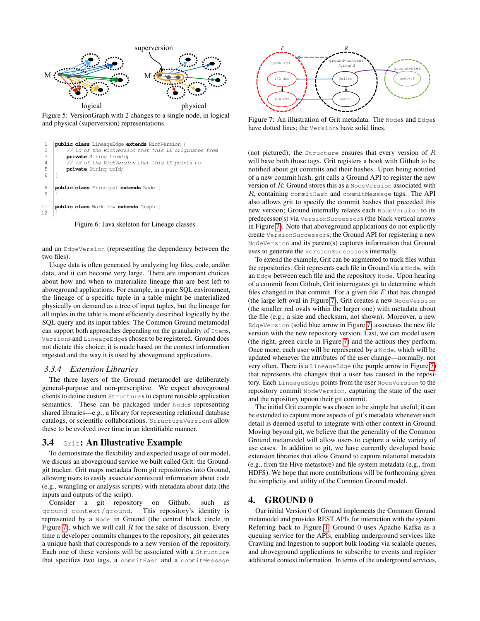<span id="page-6-1"></span>

Figure 5: VersionGraph with 2 changes to a single node, in logical and physical (superversion) representations.

```
1 public class LineageEdge extends RichVersion {
2 // id of the RichVersion that this LE originates from
3 private String fromId;
4 // id of the RichVersion that this LE points to
5 private String toId;
68 public class Principal extends Node {
9 }
11 public class Workflow extends Graph {
12 }
```
Figure 6: Java skeleton for Lineage classes.

and an EdgeVersion (representing the dependency between the two files).

Usage data is often generated by analyzing log files, code, and/or data, and it can become very large. There are important choices about how and when to materialize lineage that are best left to aboveground applications. For example, in a pure SQL environment, the lineage of a specific tuple in a table might be materialized physically on demand as a tree of input tuples, but the lineage for all tuples in the table is more efficiently described logically by the SQL query and its input tables. The Common Ground metamodel can support both approaches depending on the granularity of Items, Versions and LineageEdges chosen to be registered. Ground does not dictate this choice; it is made based on the context information ingested and the way it is used by aboveground applications.

#### *3.3.4 Extension Libraries*

The three layers of the Ground metamodel are deliberately general-purpose and non-prescriptive. We expect aboveground clients to define custom Structures to capture reusable application semantics. These can be packaged under Nodes representing shared libraries—e.g., a library for representing relational database catalogs, or scientific collaborations. StructureVersions allow these to be evolved over time in an identifiable manner.

#### 3.4 Grit: An Illustrative Example

To demonstrate the flexibility and expected usage of our model, we discuss an aboveground service we built called Grit: the Groundgit tracker. Grit maps metadata from git repositories into Ground, allowing users to easily associate contextual information about code (e.g., wrangling or analysis scripts) with metadata about data (the inputs and outputs of the script).

Consider a git repository on Github, such as ground-context/ground. This repository's identity is represented by a Node in Ground (the central black circle in Figure [7\)](#page-6-3), which we will call  $R$  for the sake of discussion. Every time a developer commits changes to the repository, git generates a unique hash that corresponds to a new version of the repository. Each one of these versions will be associated with a Structure that specifies two tags, a commitHash and a commitMessage

<span id="page-6-3"></span>

Figure 7: An illustration of Grit metadata. The Nodes and Edges have dotted lines; the Versions have solid lines.

(not pictured); the Structure ensures that every version of  $R$ will have both those tags. Grit registers a hook with Github to be notified about git commits and their hashes. Upon being notified of a new commit hash, grit calls a Ground API to register the new version of  $R$ ; Ground stores this as a NodeVersion associated with  $R$ , containing commitHash and commitMessage tags. The API also allows grit to specify the commit hashes that preceded this new version; Ground internally relates each NodeVersion to its predecessor(s) via VersionSuccessors (the black vertical arrows in Figure [7\)](#page-6-3). Note that aboveground applications do not explicitly create VersionSuccessors; the Ground API for registering a new NodeVersion and its parent(s) captures information that Ground uses to generate the VersionSuccessors internally.

To extend the example, Grit can be augmented to track files within the repositories. Grit represents each file in Ground via a Node, with an Edge between each file and the repository Node. Upon hearing of a commit from Github, Grit interrogates git to determine which files changed in that commit. For a given file  $F$  that has changed (the large left oval in Figure [7\)](#page-6-3), Grit creates a new NodeVersion (the smaller red ovals within the larger one) with metadata about the file (e.g., a size and checksum, not shown). Moreover, a new EdgeVersion (solid blue arrow in Figure [7\)](#page-6-3) associates the new file version with the new repository version. Last, we can model users (the right, green circle in Figure [7\)](#page-6-3) and the actions they perform. Once more, each user will be represented by a Node, which will be updated whenever the attributes of the user change—normally, not very often. There is a LineageEdge (the purple arrow in Figure [7\)](#page-6-3) that represents the changes that a user has caused in the repository. Each LineageEdge points from the user NodeVersion to the repository commit NodeVersion, capturing the state of the user and the repository upoon their git commit.

The initial Grit example was chosen to be simple but useful; it can be extended to capture more aspects of git's metadata whenever such detail is deemed useful to integrate with other context in Ground. Moving beyond git, we believe that the generality of the Common Ground metamodel will allow users to capture a wide variety of use cases. In addition to git, we have currently developed basic extension libraries that allow Ground to capture relational metadata (e.g., from the Hive metastore) and file system metadata (e.g., from HDFS). We hope that more contributions will be forthcoming given the simplicity and utility of the Common Ground model.

# <span id="page-6-0"></span>4. GROUND 0

Our initial Version 0 of Ground implements the Common Ground metamodel and provides REST APIs for interaction with the system. Referring back to Figure [1,](#page-3-0) Ground 0 uses Apache Kafka as a queuing service for the APIs, enabling underground services like Crawling and Ingestion to support bulk loading via scalable queues, and aboveground applications to subscribe to events and register additional context information. In terms of the underground services,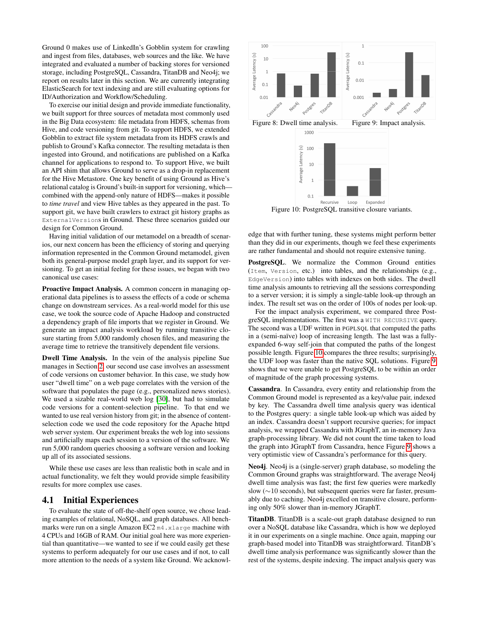Ground 0 makes use of LinkedIn's Gobblin system for crawling and ingest from files, databases, web sources and the like. We have integrated and evaluated a number of backing stores for versioned storage, including PostgreSQL, Cassandra, TitanDB and Neo4j; we report on results later in this section. We are currently integrating ElasticSearch for text indexing and are still evaluating options for ID/Authorization and Workflow/Scheduling.

To exercise our initial design and provide immediate functionality, we built support for three sources of metadata most commonly used in the Big Data ecosystem: file metadata from HDFS, schemas from Hive, and code versioning from git. To support HDFS, we extended Gobblin to extract file system metadata from its HDFS crawls and publish to Ground's Kafka connector. The resulting metadata is then ingested into Ground, and notifications are published on a Kafka channel for applications to respond to. To support Hive, we built an API shim that allows Ground to serve as a drop-in replacement for the Hive Metastore. One key benefit of using Ground as Hive's relational catalog is Ground's built-in support for versioning, which combined with the append-only nature of HDFS—makes it possible to *time travel* and view Hive tables as they appeared in the past. To support git, we have built crawlers to extract git history graphs as ExternalVersions in Ground. These three scenarios guided our design for Common Ground.

Having initial validation of our metamodel on a breadth of scenarios, our next concern has been the efficiency of storing and querying information represented in the Common Ground metamodel, given both its general-purpose model graph layer, and its support for versioning. To get an initial feeling for these issues, we began with two canonical use cases:

Proactive Impact Analysis. A common concern in managing operational data pipelines is to assess the effects of a code or schema change on downstream services. As a real-world model for this use case, we took the source code of Apache Hadoop and constructed a dependency graph of file imports that we register in Ground. We generate an impact analysis workload by running transitive closure starting from 5,000 randomly chosen files, and measuring the average time to retrieve the transitively dependent file versions.

Dwell Time Analysis. In the vein of the analysis pipeline Sue manages in Section [2,](#page-1-0) our second use case involves an assessment of code versions on customer behavior. In this case, we study how user "dwell time" on a web page correlates with the version of the software that populates the page (e.g., personalized news stories). We used a sizable real-world web log [\[30\]](#page-11-3), but had to simulate code versions for a content-selection pipeline. To that end we wanted to use real version history from git; in the absence of contentselection code we used the code repository for the Apache httpd web server system. Our experiment breaks the web log into sessions and artificially maps each session to a version of the software. We run 5,000 random queries choosing a software version and looking up all of its associated sessions.

While these use cases are less than realistic both in scale and in actual functionality, we felt they would provide simple feasibility results for more complex use cases.

# <span id="page-7-0"></span>4.1 Initial Experiences

To evaluate the state of off-the-shelf open source, we chose leading examples of relational, NoSQL, and graph databases. All benchmarks were run on a single Amazon EC2 m4.xlarge machine with 4 CPUs and 16GB of RAM. Our initial goal here was more experiential than quantitative—we wanted to see if we could easily get these systems to perform adequately for our use cases and if not, to call more attention to the needs of a system like Ground. We acknowl-

<span id="page-7-1"></span>

Figure 10: PostgreSQL transitive closure variants.

edge that with further tuning, these systems might perform better than they did in our experiments, though we feel these experiments are rather fundamental and should not require extensive tuning.

PostgreSQL. We normalize the Common Ground entities (Item, Version, etc.) into tables, and the relationships (e.g., EdgeVersion) into tables with indexes on both sides. The dwell time analysis amounts to retrieving all the sessions corresponding to a server version; it is simply a single-table look-up through an index. The result set was on the order of 100s of nodes per look-up.

For the impact analysis experiment, we compared three PostgreSQL implementations. The first was a WITH RECURSIVE query. The second was a UDF written in PGPLSQL that computed the paths in a (semi-naïve) loop of increasing length. The last was a fullyexpanded 6-way self-join that computed the paths of the longest possible length. Figure [10](#page-7-1) compares the three results; surprisingly, the UDF loop was faster than the native SQL solutions. Figure [9](#page-7-1) shows that we were unable to get PostgreSQL to be within an order of magnitude of the graph processing systems.

Cassandra. In Cassandra, every entity and relationship from the Common Ground model is represented as a key/value pair, indexed by key. The Cassandra dwell time analysis query was identical to the Postgres query: a single table look-up which was aided by an index. Cassandra doesn't support recursive queries; for impact analysis, we wrapped Cassandra with JGraphT, an in-memory Java graph-processing library. We did not count the time taken to load the graph into JGraphT from Cassandra, hence Figure [9](#page-7-1) shows a very optimistic view of Cassandra's performance for this query.

Neo4j. Neo4j is a (single-server) graph database, so modeling the Common Ground graphs was straightforward. The average Neo4j dwell time analysis was fast; the first few queries were markedly slow (∼10 seconds), but subsequent queries were far faster, presumably due to caching. Neo4j excelled on transitive closure, performing only 50% slower than in-memory JGraphT.

TitanDB. TitanDB is a scale-out graph database designed to run over a NoSQL database like Cassandra, which is how we deployed it in our experiments on a single machine. Once again, mapping our graph-based model into TitanDB was straightforward. TitanDB's dwell time analysis performance was significantly slower than the rest of the systems, despite indexing. The impact analysis query was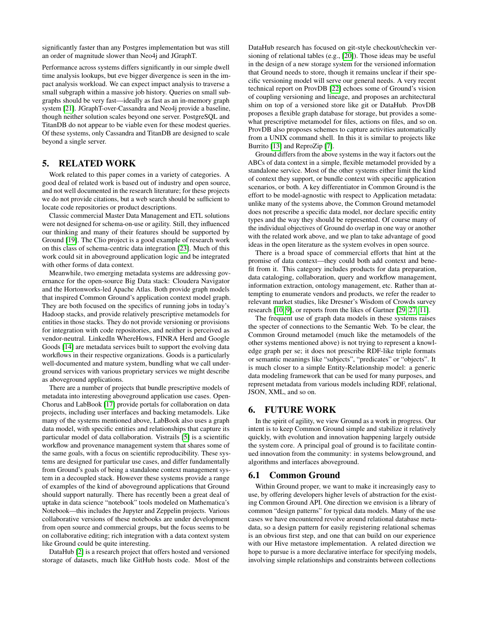significantly faster than any Postgres implementation but was still an order of magnitude slower than Neo4j and JGraphT.

Performance across systems differs significantly in our simple dwell time analysis lookups, but eve bigger divergence is seen in the impact analysis workload. We can expect impact analysis to traverse a small subgraph within a massive job history. Queries on small subgraphs should be very fast—ideally as fast as an in-memory graph system [\[21\]](#page-11-4). JGraphT-over-Cassandra and Neo4j provide a baseline, though neither solution scales beyond one server. PostgreSQL and TitanDB do not appear to be viable even for these modest queries. Of these systems, only Cassandra and TitanDB are designed to scale beyond a single server.

# 5. RELATED WORK

Work related to this paper comes in a variety of categories. A good deal of related work is based out of industry and open source, and not well documented in the research literature; for these projects we do not provide citations, but a web search should be sufficient to locate code repositories or product descriptions.

Classic commercial Master Data Management and ETL solutions were not designed for schema-on-use or agility. Still, they influenced our thinking and many of their features should be supported by Ground [\[19\]](#page-11-5). The Clio project is a good example of research work on this class of schema-centric data integration [\[23\]](#page-11-6). Much of this work could sit in aboveground application logic and be integrated with other forms of data context.

Meanwhile, two emerging metadata systems are addressing governance for the open-source Big Data stack: Cloudera Navigator and the Hortonworks-led Apache Atlas. Both provide graph models that inspired Common Ground's application context model graph. They are both focused on the specifics of running jobs in today's Hadoop stacks, and provide relatively prescriptive metamodels for entities in those stacks. They do not provide versioning or provisions for integration with code repositories, and neither is perceived as vendor-neutral. LinkedIn WhereHows, FINRA Herd and Google Goods [\[14\]](#page-10-3) are metadata services built to support the evolving data workflows in their respective organizations. Goods is a particularly well-documented and mature system, bundling what we call underground services with various proprietary services we might describe as aboveground applications.

There are a number of projects that bundle prescriptive models of metadata into interesting aboveground application use cases. Open-Chorus and LabBook [\[17\]](#page-10-4) provide portals for collaboration on data projects, including user interfaces and backing metamodels. Like many of the systems mentioned above, LabBook also uses a graph data model, with specific entities and relationships that capture its particular model of data collaboration. Vistrails [\[5\]](#page-10-5) is a scientific workflow and provenance management system that shares some of the same goals, with a focus on scientific reproducibility. These systems are designed for particular use cases, and differ fundamentally from Ground's goals of being a standalone context management system in a decoupled stack. However these systems provide a range of examples of the kind of aboveground applications that Ground should support naturally. There has recently been a great deal of uptake in data science "notebook" tools modeled on Mathematica's Notebook—this includes the Jupyter and Zeppelin projects. Various collaborative versions of these notebooks are under development from open source and commercial groups, but the focus seems to be on collaborative editing; rich integration with a data context system like Ground could be quite interesting.

DataHub [\[2\]](#page-10-6) is a research project that offers hosted and versioned storage of datasets, much like GitHub hosts code. Most of the

DataHub research has focused on git-style checkout/checkin versioning of relational tables (e.g., [\[20\]](#page-11-7)). Those ideas may be useful in the design of a new storage system for the versioned information that Ground needs to store, though it remains unclear if their specific versioning model will serve our general needs. A very recent technical report on ProvDB [\[22\]](#page-11-8) echoes some of Ground's vision of coupling versioning and lineage, and proposes an architectural shim on top of a versioned store like git or DataHub. ProvDB proposes a flexible graph database for storage, but provides a somewhat prescriptive metamodel for files, actions on files, and so on. ProvDB also proposes schemes to capture activities automatically from a UNIX command shell. In this it is similar to projects like Burrito [\[13\]](#page-10-7) and ReproZip [\[7\]](#page-10-8).

Ground differs from the above systems in the way it factors out the ABCs of data context in a simple, flexible metamodel provided by a standalone service. Most of the other systems either limit the kind of context they support, or bundle context with specific application scenarios, or both. A key differentiator in Common Ground is the effort to be model-agnostic with respect to Application metadata: unlike many of the systems above, the Common Ground metamodel does not prescribe a specific data model, nor declare specific entity types and the way they should be represented. Of course many of the individual objectives of Ground do overlap in one way or another with the related work above, and we plan to take advantage of good ideas in the open literature as the system evolves in open source.

There is a broad space of commercial efforts that hint at the promise of data context—they could both add context and benefit from it. This category includes products for data preparation, data cataloging, collaboration, query and workflow management, information extraction, ontology management, etc. Rather than attempting to enumerate vendors and products, we refer the reader to relevant market studies, like Dresner's Wisdom of Crowds survey research [\[10,](#page-10-9) [9\]](#page-10-10), or reports from the likes of Gartner [\[29,](#page-11-9) [27,](#page-11-10) [11\]](#page-10-11).

The frequent use of graph data models in these systems raises the specter of connections to the Semantic Web. To be clear, the Common Ground metamodel (much like the metamodels of the other systems mentioned above) is not trying to represent a knowledge graph per se; it does not prescribe RDF-like triple formats or semantic meanings like "subjects", "predicates" or "objects". It is much closer to a simple Entity-Relationship model: a generic data modeling framework that can be used for many purposes, and represent metadata from various models including RDF, relational, JSON, XML, and so on.

# 6. FUTURE WORK

In the spirit of agility, we view Ground as a work in progress. Our intent is to keep Common Ground simple and stabilize it relatively quickly, with evolution and innovation happening largely outside the system core. A principal goal of ground is to facilitate continued innovation from the community: in systems belowground, and algorithms and interfaces aboveground.

#### 6.1 Common Ground

Within Ground proper, we want to make it increasingly easy to use, by offering developers higher levels of abstraction for the existing Common Ground API. One direction we envision is a library of common "design patterns" for typical data models. Many of the use cases we have encountered revolve around relational database metadata, so a design pattern for easily registering relational schemas is an obvious first step, and one that can build on our experience with our Hive metastore implementation. A related direction we hope to pursue is a more declarative interface for specifying models, involving simple relationships and constraints between collections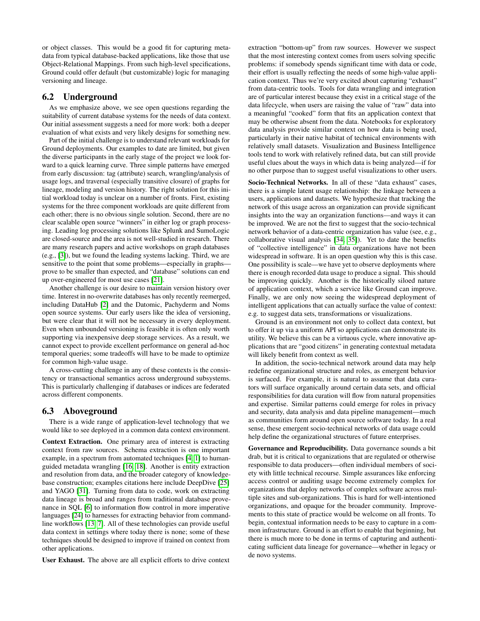or object classes. This would be a good fit for capturing metadata from typical database-backed applications, like those that use Object-Relational Mappings. From such high-level specifications, Ground could offer default (but customizable) logic for managing versioning and lineage.

# 6.2 Underground

As we emphasize above, we see open questions regarding the suitability of current database systems for the needs of data context. Our initial assessment suggests a need for more work: both a deeper evaluation of what exists and very likely designs for something new.

Part of the initial challenge is to understand relevant workloads for Ground deployments. Our examples to date are limited, but given the diverse participants in the early stage of the project we look forward to a quick learning curve. Three simple patterns have emerged from early discussion: tag (attribute) search, wrangling/analysis of usage logs, and traversal (especially transitive closure) of graphs for lineage, modeling and version history. The right solution for this initial workload today is unclear on a number of fronts. First, existing systems for the three component workloads are quite different from each other; there is no obvious single solution. Second, there are no clear scalable open source "winners" in either log or graph processing. Leading log processing solutions like Splunk and SumoLogic are closed-source and the area is not well-studied in research. There are many research papers and active workshops on graph databases (e.g., [\[3\]](#page-10-12)), but we found the leading systems lacking. Third, we are sensitive to the point that some problems—especially in graphs prove to be smaller than expected, and "database" solutions can end up over-engineered for most use cases [\[21\]](#page-11-4).

Another challenge is our desire to maintain version history over time. Interest in no-overwrite databases has only recently reemerged, including DataHub [\[2\]](#page-10-6) and the Datomic, Pachyderm and Noms open source systems. Our early users like the idea of versioning, but were clear that it will not be necessary in every deployment. Even when unbounded versioning is feasible it is often only worth supporting via inexpensive deep storage services. As a result, we cannot expect to provide excellent performance on general ad-hoc temporal queries; some tradeoffs will have to be made to optimize for common high-value usage.

A cross-cutting challenge in any of these contexts is the consistency or transactional semantics across underground subsystems. This is particularly challenging if databases or indices are federated across different components.

### 6.3 Aboveground

There is a wide range of application-level technology that we would like to see deployed in a common data context environment.

Context Extraction. One primary area of interest is extracting context from raw sources. Schema extraction is one important example, in a spectrum from automated techniques [\[4,](#page-10-13) [1\]](#page-10-14) to humanguided metadata wrangling [\[16,](#page-10-15) [18\]](#page-10-16). Another is entity extraction and resolution from data, and the broader category of knowledgebase construction; examples citations here include DeepDive [\[25\]](#page-11-11) and YAGO [\[31\]](#page-11-12). Turning from data to code, work on extracting data lineage is broad and ranges from traditional database provenance in SQL [\[6\]](#page-10-2) to information flow control in more imperative languages [\[24\]](#page-11-2) to harnesses for extracting behavior from commandline workflows [\[13,](#page-10-7) [7\]](#page-10-8). All of these technologies can provide useful data context in settings where today there is none; some of these techniques should be designed to improve if trained on context from other applications.

User Exhaust. The above are all explicit efforts to drive context

extraction "bottom-up" from raw sources. However we suspect that the most interesting context comes from users solving specific problems: if somebody spends significant time with data or code, their effort is usually reflecting the needs of some high-value application context. Thus we're very excited about capturing "exhaust" from data-centric tools. Tools for data wrangling and integration are of particular interest because they exist in a critical stage of the data lifecycle, when users are raising the value of "raw" data into a meaningful "cooked" form that fits an application context that may be otherwise absent from the data. Notebooks for exploratory data analysis provide similar context on how data is being used, particularly in their native habitat of technical environments with relatively small datasets. Visualization and Business Intelligence tools tend to work with relatively refined data, but can still provide useful clues about the ways in which data is being analyzed—if for no other purpose than to suggest useful visualizations to other users.

Socio-Technical Networks. In all of these "data exhaust" cases, there is a simple latent usage relationship: the linkage between a users, applications and datasets. We hypothesize that tracking the network of this usage across an organization can provide significant insights into the way an organization functions—and ways it can be improved. We are not the first to suggest that the socio-technical network behavior of a data-centric organization has value (see, e.g., collaborative visual analysis [\[34,](#page-11-13) [35\]](#page-11-14)). Yet to date the benefits of "collective intelligence" in data organizations have not been widespread in software. It is an open question why this is this case. One possibility is scale—we have yet to observe deployments where there is enough recorded data usage to produce a signal. This should be improving quickly. Another is the historically siloed nature of application context, which a service like Ground can improve. Finally, we are only now seeing the widespread deployment of intelligent applications that can actually surface the value of context: e.g. to suggest data sets, transformations or visualizations.

Ground is an environment not only to collect data context, but to offer it up via a uniform API so applications can demonstrate its utility. We believe this can be a virtuous cycle, where innovative applications that are "good citizens" in generating contextual metadata will likely benefit from context as well.

In addition, the socio-technical network around data may help redefine organizational structure and roles, as emergent behavior is surfaced. For example, it is natural to assume that data curators will surface organically around certain data sets, and official responsibilities for data curation will flow from natural propensities and expertise. Similar patterns could emerge for roles in privacy and security, data analysis and data pipeline management—much as communities form around open source software today. In a real sense, these emergent socio-technical networks of data usage could help define the organizational structures of future enterprises.

Governance and Reproducibility. Data governance sounds a bit drab, but it is critical to organizations that are regulated or otherwise responsible to data producers—often individual members of society with little technical recourse. Simple assurances like enforcing access control or auditing usage become extremely complex for organizations that deploy networks of complex software across multiple sites and sub-organizations. This is hard for well-intentioned organizations, and opaque for the broader community. Improvements to this state of practice would be welcome on all fronts. To begin, contextual information needs to be easy to capture in a common infrastructure. Ground is an effort to enable that beginning, but there is much more to be done in terms of capturing and authenticating sufficient data lineage for governance—whether in legacy or de novo systems.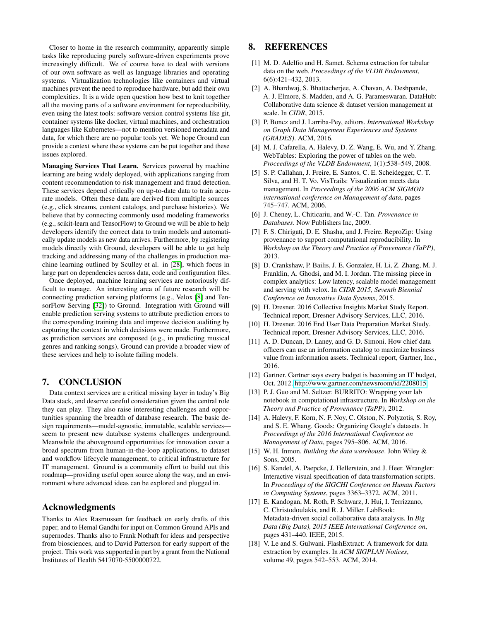Closer to home in the research community, apparently simple tasks like reproducing purely software-driven experiments prove increasingly difficult. We of course have to deal with versions of our own software as well as language libraries and operating systems. Virtualization technologies like containers and virtual machines prevent the need to reproduce hardware, but add their own complexities. It is a wide open question how best to knit together all the moving parts of a software environment for reproducibility, even using the latest tools: software version control systems like git, container systems like docker, virtual machines, and orchestration languages like Kubernetes—not to mention versioned metadata and data, for which there are no popular tools yet. We hope Ground can provide a context where these systems can be put together and these issues explored.

Managing Services That Learn. Services powered by machine learning are being widely deployed, with applications ranging from content recommendation to risk management and fraud detection. These services depend critically on up-to-date data to train accurate models. Often these data are derived from multiple sources (e.g., click streams, content catalogs, and purchase histories). We believe that by connecting commonly used modeling frameworks (e.g., scikit-learn and TensorFlow) to Ground we will be able to help developers identify the correct data to train models and automatically update models as new data arrives. Furthermore, by registering models directly with Ground, developers will be able to get help tracking and addressing many of the challenges in production machine learning outlined by Sculley et al. in [\[28\]](#page-11-15), which focus in large part on dependencies across data, code and configuration files.

Once deployed, machine learning services are notoriously difficult to manage. An interesting area of future research will be connecting prediction serving platforms (e.g., Velox [\[8\]](#page-10-17) and TensorFlow Serving [\[32\]](#page-11-16)) to Ground. Integration with Ground will enable prediction serving systems to attribute prediction errors to the corresponding training data and improve decision auditing by capturing the context in which decisions were made. Furthermore, as prediction services are composed (e.g., in predicting musical genres and ranking songs), Ground can provide a broader view of these services and help to isolate failing models.

### 7. CONCLUSION

Data context services are a critical missing layer in today's Big Data stack, and deserve careful consideration given the central role they can play. They also raise interesting challenges and opportunities spanning the breadth of database research. The basic design requirements—model-agnostic, immutable, scalable services seem to present new database systems challenges underground. Meanwhile the aboveground opportunities for innovation cover a broad spectrum from human-in-the-loop applications, to dataset and workflow lifecycle management, to critical infrastructure for IT management. Ground is a community effort to build out this roadmap—providing useful open source along the way, and an environment where advanced ideas can be explored and plugged in.

## Acknowledgments

Thanks to Alex Rasmussen for feedback on early drafts of this paper, and to Hemal Gandhi for input on Common Ground APIs and supernodes. Thanks also to Frank Nothaft for ideas and perspective from biosciences, and to David Patterson for early support of the project. This work was supported in part by a grant from the National Institutes of Health 5417070-5500000722.

# 8. REFERENCES

- <span id="page-10-14"></span>[1] M. D. Adelfio and H. Samet. Schema extraction for tabular data on the web. *Proceedings of the VLDB Endowment*, 6(6):421–432, 2013.
- <span id="page-10-6"></span>[2] A. Bhardwaj, S. Bhattacherjee, A. Chavan, A. Deshpande, A. J. Elmore, S. Madden, and A. G. Parameswaran. DataHub: Collaborative data science & dataset version management at scale. In *CIDR*, 2015.
- <span id="page-10-12"></span>[3] P. Boncz and J. Larriba-Pey, editors. *International Workshop on Graph Data Management Experiences and Systems (GRADES)*. ACM, 2016.
- <span id="page-10-13"></span>[4] M. J. Cafarella, A. Halevy, D. Z. Wang, E. Wu, and Y. Zhang. WebTables: Exploring the power of tables on the web. *Proceedings of the VLDB Endowment*, 1(1):538–549, 2008.
- <span id="page-10-5"></span>[5] S. P. Callahan, J. Freire, E. Santos, C. E. Scheidegger, C. T. Silva, and H. T. Vo. VisTrails: Visualization meets data management. In *Proceedings of the 2006 ACM SIGMOD international conference on Management of data*, pages 745–747. ACM, 2006.
- <span id="page-10-2"></span>[6] J. Cheney, L. Chiticariu, and W.-C. Tan. *Provenance in Databases*. Now Publishers Inc, 2009.
- <span id="page-10-8"></span>[7] F. S. Chirigati, D. E. Shasha, and J. Freire. ReproZip: Using provenance to support computational reproducibility. In *Workshop on the Theory and Practice of Provenance (TaPP)*, 2013.
- <span id="page-10-17"></span>[8] D. Crankshaw, P. Bailis, J. E. Gonzalez, H. Li, Z. Zhang, M. J. Franklin, A. Ghodsi, and M. I. Jordan. The missing piece in complex analytics: Low latency, scalable model management and serving with velox. In *CIDR 2015, Seventh Biennial Conference on Innovative Data Systems*, 2015.
- <span id="page-10-10"></span>[9] H. Dresner. 2016 Collective Insights Market Study Report. Technical report, Dresner Advisory Services, LLC, 2016.
- <span id="page-10-9"></span>[10] H. Dresner. 2016 End User Data Preparation Market Study. Technical report, Dresner Advisory Services, LLC, 2016.
- <span id="page-10-11"></span>[11] A. D. Duncan, D. Laney, and G. D. Simoni. How chief data officers can use an information catalog to maximize business value from information assets. Technical report, Gartner, Inc., 2016.
- <span id="page-10-1"></span>[12] Gartner. Gartner says every budget is becoming an IT budget, Oct. 2012. [http://www.gartner.com/newsroom/id/2208015.](http://www.gartner.com/newsroom/id/2208015)
- <span id="page-10-7"></span>[13] P. J. Guo and M. Seltzer. BURRITO: Wrapping your lab notebook in computational infrastructure. In *Workshop on the Theory and Practice of Provenance (TaPP)*, 2012.
- <span id="page-10-3"></span>[14] A. Halevy, F. Korn, N. F. Noy, C. Olston, N. Polyzotis, S. Roy, and S. E. Whang. Goods: Organizing Google's datasets. In *Proceedings of the 2016 International Conference on Management of Data*, pages 795–806. ACM, 2016.
- <span id="page-10-0"></span>[15] W. H. Inmon. *Building the data warehouse*. John Wiley & Sons, 2005.
- <span id="page-10-15"></span>[16] S. Kandel, A. Paepcke, J. Hellerstein, and J. Heer. Wrangler: Interactive visual specification of data transformation scripts. In *Proceedings of the SIGCHI Conference on Human Factors in Computing Systems*, pages 3363–3372. ACM, 2011.
- <span id="page-10-4"></span>[17] E. Kandogan, M. Roth, P. Schwarz, J. Hui, I. Terrizzano, C. Christodoulakis, and R. J. Miller. LabBook: Metadata-driven social collaborative data analysis. In *Big Data (Big Data), 2015 IEEE International Conference on*, pages 431–440. IEEE, 2015.
- <span id="page-10-16"></span>[18] V. Le and S. Gulwani. FlashExtract: A framework for data extraction by examples. In *ACM SIGPLAN Notices*, volume 49, pages 542–553. ACM, 2014.